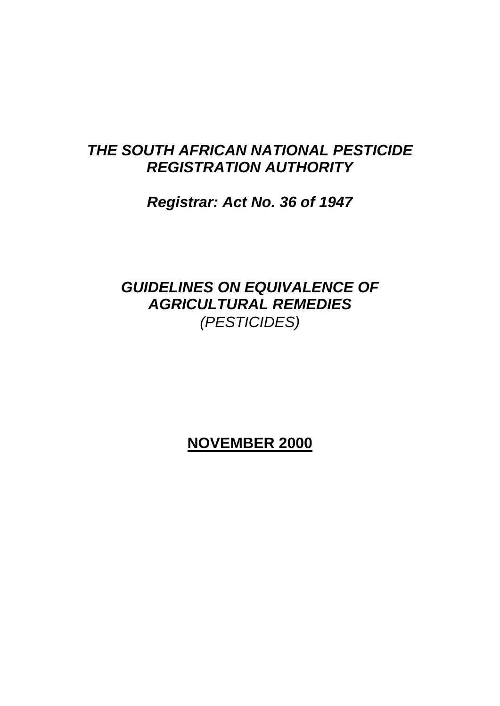# *THE SOUTH AFRICAN NATIONAL PESTICIDE REGISTRATION AUTHORITY*

# *Registrar: Act No. 36 of 1947*

# *GUIDELINES ON EQUIVALENCE OF AGRICULTURAL REMEDIES (PESTICIDES)*

# **NOVEMBER 2000**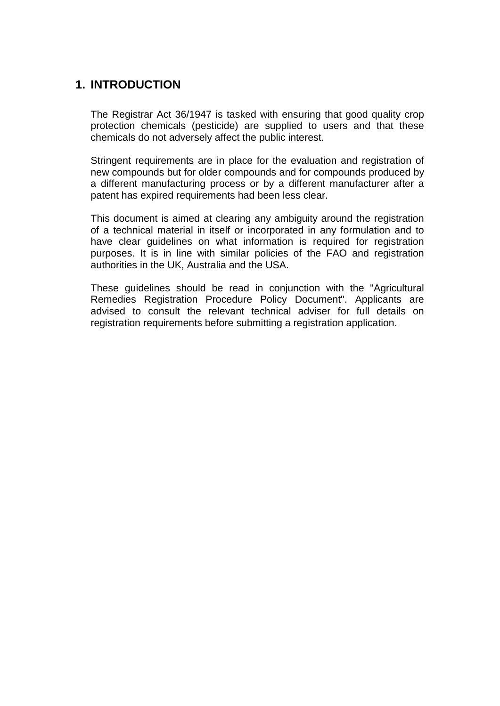# **1. INTRODUCTION**

The Registrar Act 36/1947 is tasked with ensuring that good quality crop protection chemicals (pesticide) are supplied to users and that these chemicals do not adversely affect the public interest.

Stringent requirements are in place for the evaluation and registration of new compounds but for older compounds and for compounds produced by a different manufacturing process or by a different manufacturer after a patent has expired requirements had been less clear.

This document is aimed at clearing any ambiguity around the registration of a technical material in itself or incorporated in any formulation and to have clear guidelines on what information is required for registration purposes. It is in line with similar policies of the FAO and registration authorities in the UK, Australia and the USA.

These guidelines should be read in conjunction with the "Agricultural Remedies Registration Procedure Policy Document". Applicants are advised to consult the relevant technical adviser for full details on registration requirements before submitting a registration application.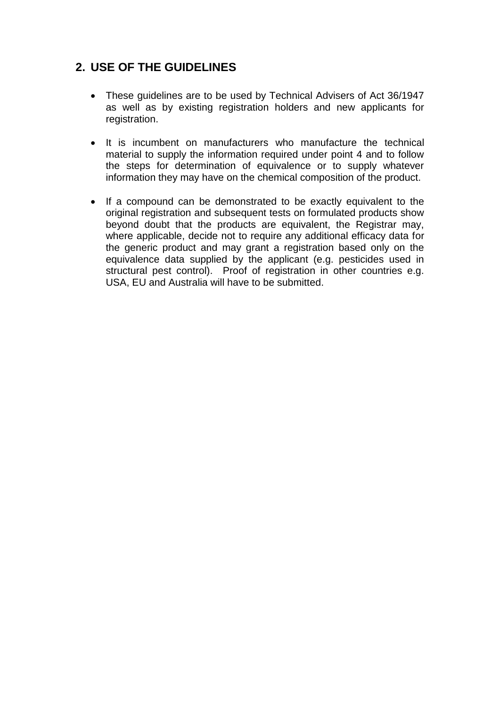## **2. USE OF THE GUIDELINES**

- These guidelines are to be used by Technical Advisers of Act 36/1947 as well as by existing registration holders and new applicants for registration.
- It is incumbent on manufacturers who manufacture the technical material to supply the information required under point 4 and to follow the steps for determination of equivalence or to supply whatever information they may have on the chemical composition of the product.
- If a compound can be demonstrated to be exactly equivalent to the original registration and subsequent tests on formulated products show beyond doubt that the products are equivalent, the Registrar may, where applicable, decide not to require any additional efficacy data for the generic product and may grant a registration based only on the equivalence data supplied by the applicant (e.g. pesticides used in structural pest control). Proof of registration in other countries e.g. USA, EU and Australia will have to be submitted.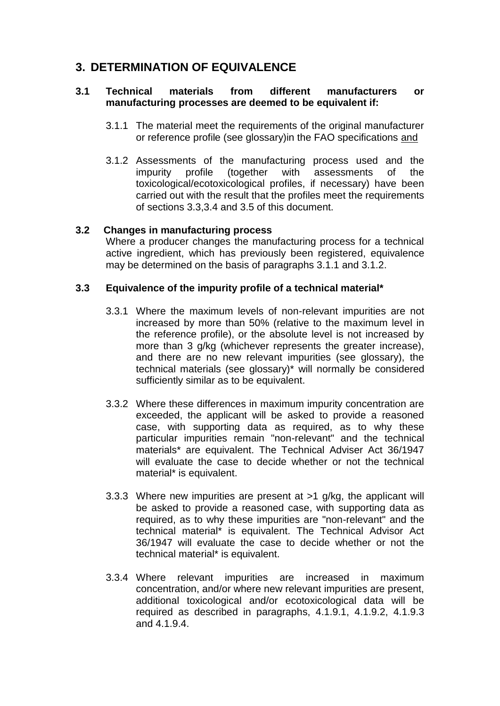## **3. DETERMINATION OF EQUIVALENCE**

#### **3.1 Technical materials from different manufacturers or manufacturing processes are deemed to be equivalent if:**

- 3.1.1 The material meet the requirements of the original manufacturer or reference profile (see glossary)in the FAO specifications and
- 3.1.2 Assessments of the manufacturing process used and the impurity profile (together with assessments of the toxicological/ecotoxicological profiles, if necessary) have been carried out with the result that the profiles meet the requirements of sections 3.3,3.4 and 3.5 of this document.

#### **3.2 Changes in manufacturing process**

Where a producer changes the manufacturing process for a technical active ingredient, which has previously been registered, equivalence may be determined on the basis of paragraphs 3.1.1 and 3.1.2.

### **3.3 Equivalence of the impurity profile of a technical material\***

- 3.3.1 Where the maximum levels of non-relevant impurities are not increased by more than 50% (relative to the maximum level in the reference profile), or the absolute level is not increased by more than 3 g/kg (whichever represents the greater increase). and there are no new relevant impurities (see glossary), the technical materials (see glossary)\* will normally be considered sufficiently similar as to be equivalent.
- 3.3.2 Where these differences in maximum impurity concentration are exceeded, the applicant will be asked to provide a reasoned case, with supporting data as required, as to why these particular impurities remain "non-relevant" and the technical materials\* are equivalent. The Technical Adviser Act 36/1947 will evaluate the case to decide whether or not the technical material\* is equivalent.
- 3.3.3 Where new impurities are present at >1 g/kg, the applicant will be asked to provide a reasoned case, with supporting data as required, as to why these impurities are "non-relevant" and the technical material\* is equivalent. The Technical Advisor Act 36/1947 will evaluate the case to decide whether or not the technical material\* is equivalent.
- 3.3.4 Where relevant impurities are increased in maximum concentration, and/or where new relevant impurities are present, additional toxicological and/or ecotoxicological data will be required as described in paragraphs, 4.1.9.1, 4.1.9.2, 4.1.9.3 and 4.1.9.4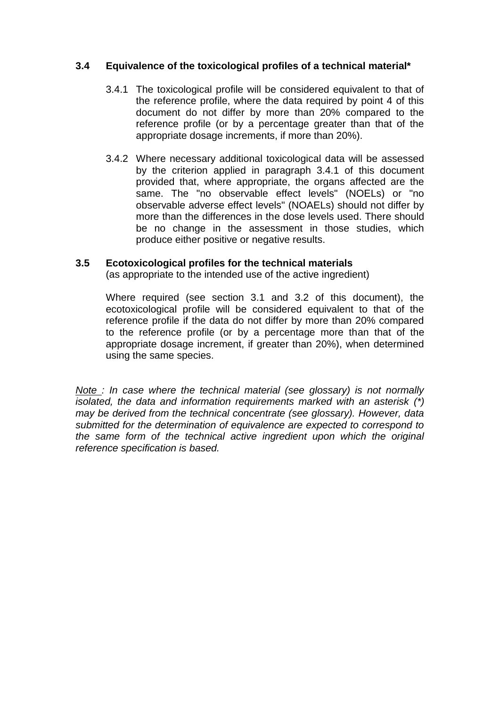### **3.4 Equivalence of the toxicological profiles of a technical material\***

- 3.4.1 The toxicological profile will be considered equivalent to that of the reference profile, where the data required by point 4 of this document do not differ by more than 20% compared to the reference profile (or by a percentage greater than that of the appropriate dosage increments, if more than 20%).
- 3.4.2 Where necessary additional toxicological data will be assessed by the criterion applied in paragraph 3.4.1 of this document provided that, where appropriate, the organs affected are the same. The "no observable effect levels" (NOELs) or "no observable adverse effect levels" (NOAELs) should not differ by more than the differences in the dose levels used. There should be no change in the assessment in those studies, which produce either positive or negative results.

### **3.5 Ecotoxicological profiles for the technical materials**

(as appropriate to the intended use of the active ingredient)

Where required (see section 3.1 and 3.2 of this document), the ecotoxicological profile will be considered equivalent to that of the reference profile if the data do not differ by more than 20% compared to the reference profile (or by a percentage more than that of the appropriate dosage increment, if greater than 20%), when determined using the same species.

*Note : In case where the technical material (see glossary) is not normally isolated, the data and information requirements marked with an asterisk (\*) may be derived from the technical concentrate (see glossary). However, data submitted for the determination of equivalence are expected to correspond to the same form of the technical active ingredient upon which the original reference specification is based.*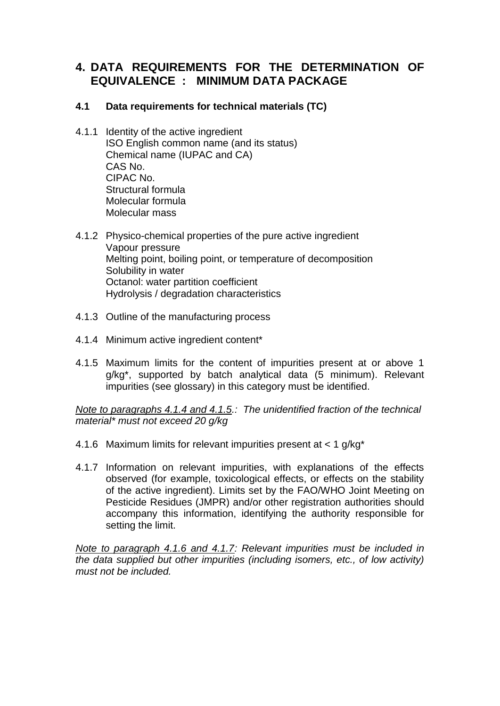## **4. DATA REQUIREMENTS FOR THE DETERMINATION OF EQUIVALENCE : MINIMUM DATA PACKAGE**

### **4.1 Data requirements for technical materials (TC)**

- 4.1.1 Identity of the active ingredient ISO English common name (and its status) Chemical name (IUPAC and CA) CAS No. CIPAC No. Structural formula Molecular formula Molecular mass
- 4.1.2 Physico-chemical properties of the pure active ingredient Vapour pressure Melting point, boiling point, or temperature of decomposition Solubility in water Octanol: water partition coefficient Hydrolysis / degradation characteristics
- 4.1.3 Outline of the manufacturing process
- 4.1.4 Minimum active ingredient content\*
- 4.1.5 Maximum limits for the content of impurities present at or above 1 g/kg\*, supported by batch analytical data (5 minimum). Relevant impurities (see glossary) in this category must be identified.

*Note to paragraphs 4.1.4 and 4.1.5.: The unidentified fraction of the technical material\* must not exceed 20 g/kg*

- 4.1.6 Maximum limits for relevant impurities present at < 1 g/kg\*
- 4.1.7 Information on relevant impurities, with explanations of the effects observed (for example, toxicological effects, or effects on the stability of the active ingredient). Limits set by the FAO/WHO Joint Meeting on Pesticide Residues (JMPR) and/or other registration authorities should accompany this information, identifying the authority responsible for setting the limit.

*Note to paragraph 4.1.6 and 4.1.7: Relevant impurities must be included in the data supplied but other impurities (including isomers, etc., of low activity) must not be included.*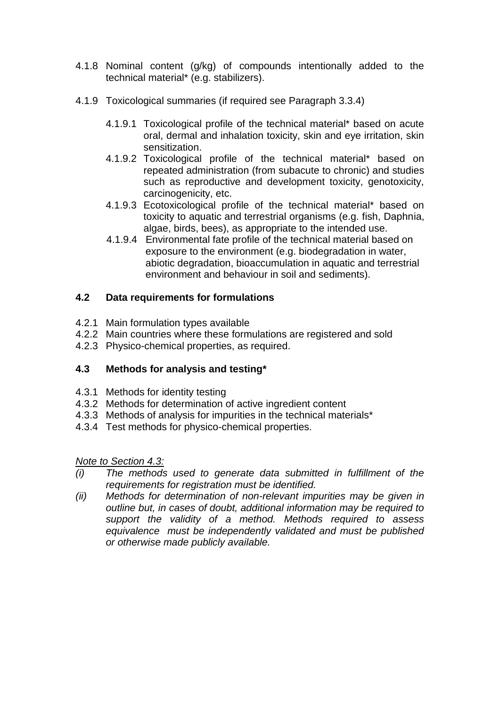- 4.1.8 Nominal content (g/kg) of compounds intentionally added to the technical material\* (e.g. stabilizers).
- 4.1.9 Toxicological summaries (if required see Paragraph 3.3.4)
	- 4.1.9.1 Toxicological profile of the technical material\* based on acute oral, dermal and inhalation toxicity, skin and eye irritation, skin sensitization.
	- 4.1.9.2 Toxicological profile of the technical material\* based on repeated administration (from subacute to chronic) and studies such as reproductive and development toxicity, genotoxicity, carcinogenicity, etc.
	- 4.1.9.3 Ecotoxicological profile of the technical material\* based on toxicity to aquatic and terrestrial organisms (e.g. fish, Daphnia, algae, birds, bees), as appropriate to the intended use.
	- 4.1.9.4 Environmental fate profile of the technical material based on exposure to the environment (e.g. biodegradation in water, abiotic degradation, bioaccumulation in aquatic and terrestrial environment and behaviour in soil and sediments).

## **4.2 Data requirements for formulations**

- 4.2.1 Main formulation types available
- 4.2.2 Main countries where these formulations are registered and sold
- 4.2.3 Physico-chemical properties, as required.

## **4.3 Methods for analysis and testing\***

- 4.3.1 Methods for identity testing
- 4.3.2 Methods for determination of active ingredient content
- 4.3.3 Methods of analysis for impurities in the technical materials\*
- 4.3.4 Test methods for physico-chemical properties.

*Note to Section 4.3:*

- *(i) The methods used to generate data submitted in fulfillment of the requirements for registration must be identified.*
- *(ii) Methods for determination of non-relevant impurities may be given in outline but, in cases of doubt, additional information may be required to support the validity of a method. Methods required to assess equivalence must be independently validated and must be published or otherwise made publicly available.*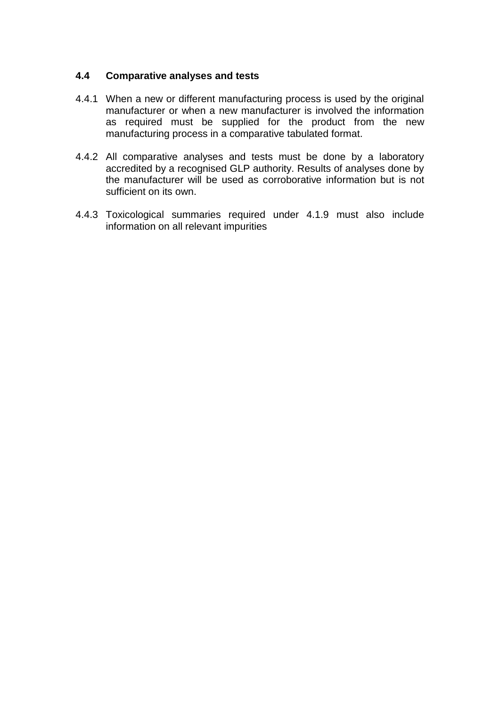#### **4.4 Comparative analyses and tests**

- 4.4.1 When a new or different manufacturing process is used by the original manufacturer or when a new manufacturer is involved the information as required must be supplied for the product from the new manufacturing process in a comparative tabulated format.
- 4.4.2 All comparative analyses and tests must be done by a laboratory accredited by a recognised GLP authority. Results of analyses done by the manufacturer will be used as corroborative information but is not sufficient on its own.
- 4.4.3 Toxicological summaries required under 4.1.9 must also include information on all relevant impurities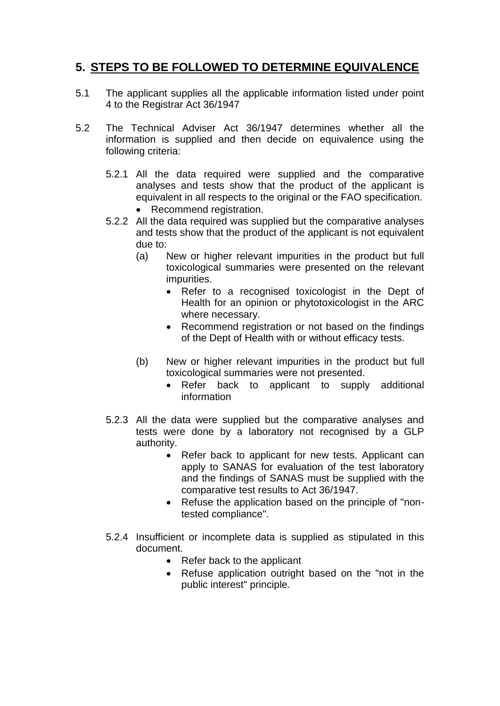## **5. STEPS TO BE FOLLOWED TO DETERMINE EQUIVALENCE**

- 5.1 The applicant supplies all the applicable information listed under point 4 to the Registrar Act 36/1947
- 5.2 The Technical Adviser Act 36/1947 determines whether all the information is supplied and then decide on equivalence using the following criteria:
	- 5.2.1 All the data required were supplied and the comparative analyses and tests show that the product of the applicant is equivalent in all respects to the original or the FAO specification.
		- Recommend registration.
	- 5.2.2 All the data required was supplied but the comparative analyses and tests show that the product of the applicant is not equivalent due to:
		- (a) New or higher relevant impurities in the product but full toxicological summaries were presented on the relevant impurities.
			- Refer to a recognised toxicologist in the Dept of Health for an opinion or phytotoxicologist in the ARC where necessary.
			- Recommend registration or not based on the findings of the Dept of Health with or without efficacy tests.
		- (b) New or higher relevant impurities in the product but full toxicological summaries were not presented.
			- Refer back to applicant to supply additional information
	- 5.2.3 All the data were supplied but the comparative analyses and tests were done by a laboratory not recognised by a GLP authority.
		- Refer back to applicant for new tests. Applicant can apply to SANAS for evaluation of the test laboratory and the findings of SANAS must be supplied with the comparative test results to Act 36/1947.
		- Refuse the application based on the principle of "nontested compliance".
	- 5.2.4 Insufficient or incomplete data is supplied as stipulated in this document.
		- Refer back to the applicant
		- Refuse application outright based on the "not in the public interest" principle.